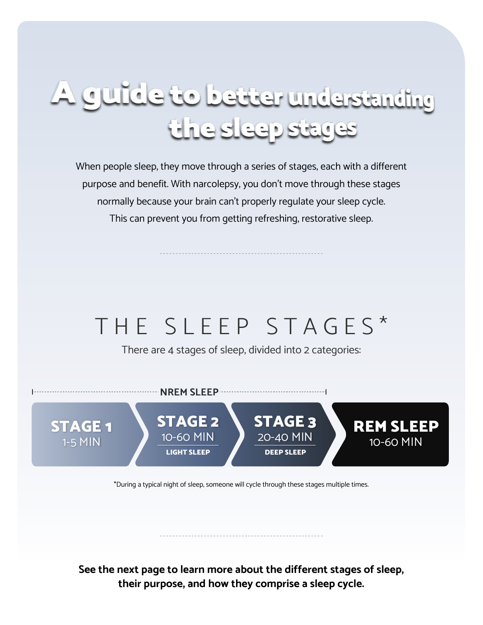# A guide to better understanding the sleep stages

When people sleep, they move through a series of stages, each with a different purpose and benefit. With narcolepsy, you don't move through these stages normally because your brain can't properly regulate your sleep cycle. This can prevent you from getting refreshing, restorative sleep.

## THE SLEEP STAGES\*

There are 4 stages of sleep, divided into 2 categories:



\*During a typical night of sleep, someone will cycle through these stages multiple times.

**See the next page to learn more about the different stages of sleep, their purpose, and how they comprise a sleep cycle.**